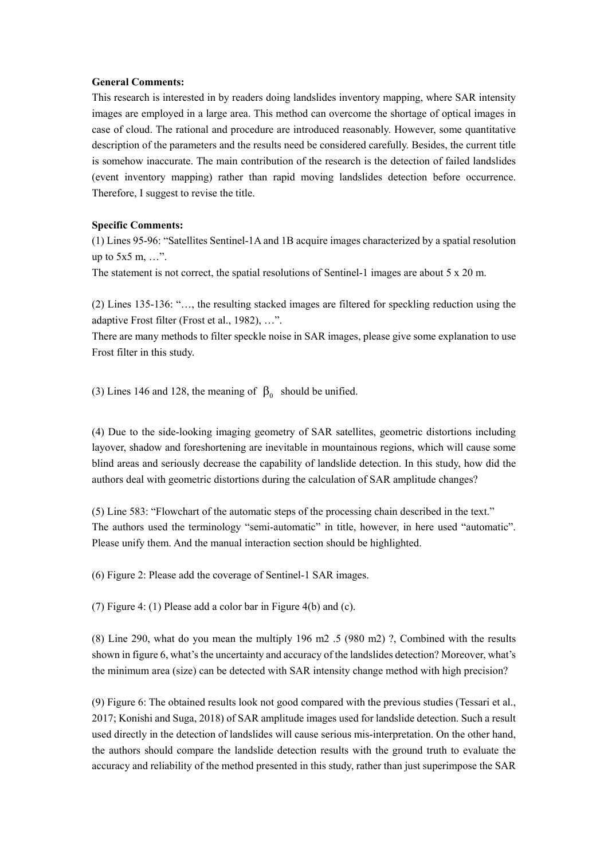## **General Comments:**

This research is interested in by readers doing landslides inventory mapping, where SAR intensity images are employed in a large area. This method can overcome the shortage of optical images in case of cloud. The rational and procedure are introduced reasonably. However, some quantitative description of the parameters and the results need be considered carefully. Besides, the current title is somehow inaccurate. The main contribution of the research is the detection of failed landslides (event inventory mapping) rather than rapid moving landslides detection before occurrence. Therefore, I suggest to revise the title.

## **Specific Comments:**

(1) Lines 95-96: "Satellites Sentinel-1A and 1B acquire images characterized by a spatial resolution up to 5x5 m, …".

The statement is not correct, the spatial resolutions of Sentinel-1 images are about 5 x 20 m.

(2) Lines 135-136: "…, the resulting stacked images are filtered for speckling reduction using the adaptive Frost filter (Frost et al., 1982), …".

There are many methods to filter speckle noise in SAR images, please give some explanation to use Frost filter in this study.

(3) Lines 146 and 128, the meaning of  $\beta_0$  should be unified.

(4) Due to the side-looking imaging geometry of SAR satellites, geometric distortions including layover, shadow and foreshortening are inevitable in mountainous regions, which will cause some blind areas and seriously decrease the capability of landslide detection. In this study, how did the authors deal with geometric distortions during the calculation of SAR amplitude changes?

(5) Line 583: "Flowchart of the automatic steps of the processing chain described in the text." The authors used the terminology "semi-automatic" in title, however, in here used "automatic". Please unify them. And the manual interaction section should be highlighted.

(6) Figure 2: Please add the coverage of Sentinel-1 SAR images.

(7) Figure 4: (1) Please add a color bar in Figure 4(b) and (c).

(8) Line 290, what do you mean the multiply 196 m2 .5 (980 m2) ?, Combined with the results shown in figure 6, what's the uncertainty and accuracy of the landslides detection? Moreover, what's the minimum area (size) can be detected with SAR intensity change method with high precision?

(9) Figure 6: The obtained results look not good compared with the previous studies (Tessari et al., 2017; Konishi and Suga, 2018) of SAR amplitude images used for landslide detection. Such a result used directly in the detection of landslides will cause serious mis-interpretation. On the other hand, the authors should compare the landslide detection results with the ground truth to evaluate the accuracy and reliability of the method presented in this study, rather than just superimpose the SAR